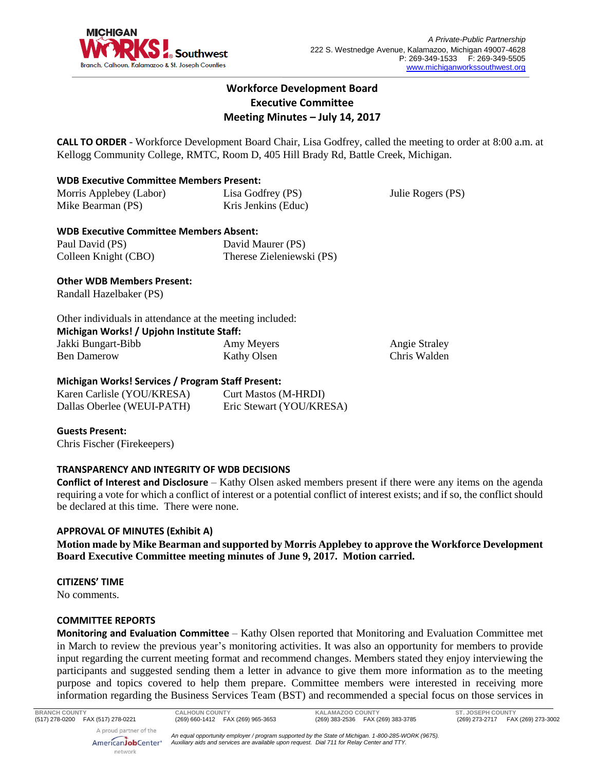

Julie Rogers (PS)

# **Workforce Development Board Executive Committee Meeting Minutes – July 14, 2017**

**CALL TO ORDER** - Workforce Development Board Chair, Lisa Godfrey, called the meeting to order at 8:00 a.m. at Kellogg Community College, RMTC, Room D, 405 Hill Brady Rd, Battle Creek, Michigan.

## **WDB Executive Committee Members Present:**

Morris Applebey (Labor) Mike Bearman (PS) Lisa Godfrey (PS) Kris Jenkins (Educ)

# **WDB Executive Committee Members Absent:**

| Paul David (PS)      | David Maurer (PS)         |
|----------------------|---------------------------|
| Colleen Knight (CBO) | Therese Zieleniewski (PS) |

## **Other WDB Members Present:**

Randall Hazelbaker (PS)

#### Other individuals in attendance at the meeting included: **Michigan Works! / Upjohn Institute Staff:**

| Jakki Bungart-Bibb | Amy Meyers         | <b>Angie Straley</b> |
|--------------------|--------------------|----------------------|
| Ben Damerow        | <b>Kathy Olsen</b> | Chris Walden         |

## **Michigan Works! Services / Program Staff Present:**

| Karen Carlisle (YOU/KRESA) | <b>Curt Mastos (M-HRDI)</b> |
|----------------------------|-----------------------------|
| Dallas Oberlee (WEUI-PATH) | Eric Stewart (YOU/KRESA)    |

**Guests Present:** Chris Fischer (Firekeepers)

## **TRANSPARENCY AND INTEGRITY OF WDB DECISIONS**

**Conflict of Interest and Disclosure** – Kathy Olsen asked members present if there were any items on the agenda requiring a vote for which a conflict of interest or a potential conflict of interest exists; and if so, the conflict should be declared at this time. There were none.

## **APPROVAL OF MINUTES (Exhibit A)**

**Motion made by Mike Bearman and supported by Morris Applebey to approve the Workforce Development Board Executive Committee meeting minutes of June 9, 2017. Motion carried.** 

## **CITIZENS' TIME**

No comments.

## **COMMITTEE REPORTS**

**Monitoring and Evaluation Committee** – Kathy Olsen reported that Monitoring and Evaluation Committee met in March to review the previous year's monitoring activities. It was also an opportunity for members to provide input regarding the current meeting format and recommend changes. Members stated they enjoy interviewing the participants and suggested sending them a letter in advance to give them more information as to the meeting purpose and topics covered to help them prepare. Committee members were interested in receiving more information regarding the Business Services Team (BST) and recommended a special focus on those services in

AmericanJobCenter<sup>®</sup> network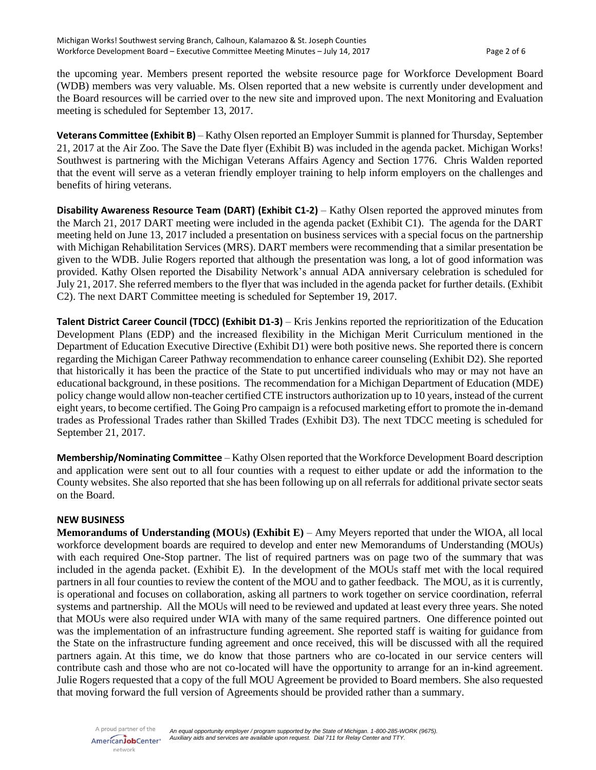the upcoming year. Members present reported the website resource page for Workforce Development Board (WDB) members was very valuable. Ms. Olsen reported that a new website is currently under development and the Board resources will be carried over to the new site and improved upon. The next Monitoring and Evaluation meeting is scheduled for September 13, 2017.

**Veterans Committee (Exhibit B)** – Kathy Olsen reported an Employer Summit is planned for Thursday, September 21, 2017 at the Air Zoo. The Save the Date flyer (Exhibit B) was included in the agenda packet. Michigan Works! Southwest is partnering with the Michigan Veterans Affairs Agency and Section 1776. Chris Walden reported that the event will serve as a veteran friendly employer training to help inform employers on the challenges and benefits of hiring veterans.

**Disability Awareness Resource Team (DART) (Exhibit C1-2)** – Kathy Olsen reported the approved minutes from the March 21, 2017 DART meeting were included in the agenda packet (Exhibit C1). The agenda for the DART meeting held on June 13, 2017 included a presentation on business services with a special focus on the partnership with Michigan Rehabilitation Services (MRS). DART members were recommending that a similar presentation be given to the WDB. Julie Rogers reported that although the presentation was long, a lot of good information was provided. Kathy Olsen reported the Disability Network's annual ADA anniversary celebration is scheduled for July 21, 2017. She referred members to the flyer that was included in the agenda packet for further details. (Exhibit C2). The next DART Committee meeting is scheduled for September 19, 2017.

**Talent District Career Council (TDCC) (Exhibit D1-3)** – Kris Jenkins reported the reprioritization of the Education Development Plans (EDP) and the increased flexibility in the Michigan Merit Curriculum mentioned in the Department of Education Executive Directive (Exhibit D1) were both positive news. She reported there is concern regarding the Michigan Career Pathway recommendation to enhance career counseling (Exhibit D2). She reported that historically it has been the practice of the State to put uncertified individuals who may or may not have an educational background, in these positions. The recommendation for a Michigan Department of Education (MDE) policy change would allow non-teacher certified CTE instructors authorization up to 10 years, instead of the current eight years, to become certified. The Going Pro campaign is a refocused marketing effort to promote the in-demand trades as Professional Trades rather than Skilled Trades (Exhibit D3). The next TDCC meeting is scheduled for September 21, 2017.

**Membership/Nominating Committee** – Kathy Olsen reported that the Workforce Development Board description and application were sent out to all four counties with a request to either update or add the information to the County websites. She also reported that she has been following up on all referrals for additional private sector seats on the Board.

#### **NEW BUSINESS**

**Memorandums of Understanding (MOUs) (Exhibit E)** – Amy Meyers reported that under the WIOA, all local workforce development boards are required to develop and enter new Memorandums of Understanding (MOUs) with each required One-Stop partner. The list of required partners was on page two of the summary that was included in the agenda packet. (Exhibit E). In the development of the MOUs staff met with the local required partners in all four counties to review the content of the MOU and to gather feedback. The MOU, as it is currently, is operational and focuses on collaboration, asking all partners to work together on service coordination, referral systems and partnership. All the MOUs will need to be reviewed and updated at least every three years. She noted that MOUs were also required under WIA with many of the same required partners. One difference pointed out was the implementation of an infrastructure funding agreement. She reported staff is waiting for guidance from the State on the infrastructure funding agreement and once received, this will be discussed with all the required partners again. At this time, we do know that those partners who are co-located in our service centers will contribute cash and those who are not co-located will have the opportunity to arrange for an in-kind agreement. Julie Rogers requested that a copy of the full MOU Agreement be provided to Board members. She also requested that moving forward the full version of Agreements should be provided rather than a summary.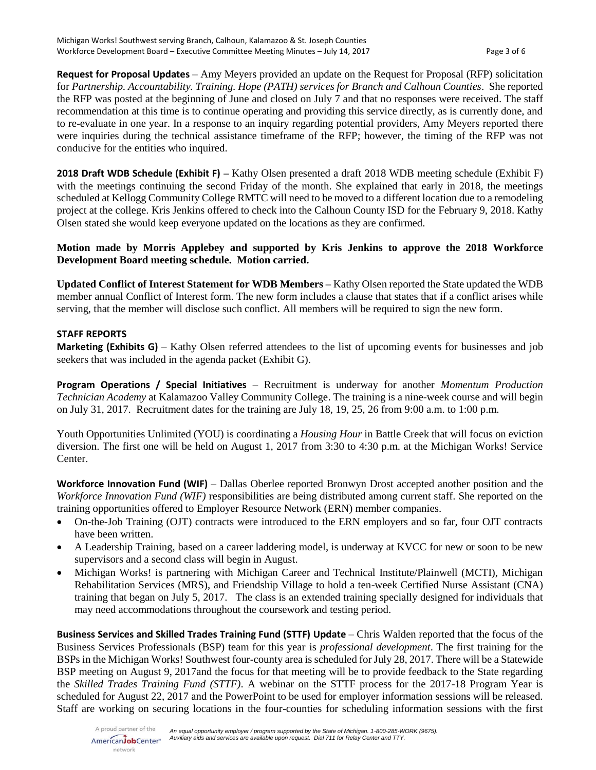**Request for Proposal Updates** – Amy Meyers provided an update on the Request for Proposal (RFP) solicitation for *Partnership. Accountability. Training. Hope (PATH) services for Branch and Calhoun Counties*. She reported the RFP was posted at the beginning of June and closed on July 7 and that no responses were received. The staff recommendation at this time is to continue operating and providing this service directly, as is currently done, and to re-evaluate in one year. In a response to an inquiry regarding potential providers, Amy Meyers reported there were inquiries during the technical assistance timeframe of the RFP; however, the timing of the RFP was not conducive for the entities who inquired.

**2018 Draft WDB Schedule (Exhibit F) –** Kathy Olsen presented a draft 2018 WDB meeting schedule (Exhibit F) with the meetings continuing the second Friday of the month. She explained that early in 2018, the meetings scheduled at Kellogg Community College RMTC will need to be moved to a different location due to a remodeling project at the college. Kris Jenkins offered to check into the Calhoun County ISD for the February 9, 2018. Kathy Olsen stated she would keep everyone updated on the locations as they are confirmed.

## **Motion made by Morris Applebey and supported by Kris Jenkins to approve the 2018 Workforce Development Board meeting schedule. Motion carried.**

**Updated Conflict of Interest Statement for WDB Members –** Kathy Olsen reported the State updated the WDB member annual Conflict of Interest form. The new form includes a clause that states that if a conflict arises while serving, that the member will disclose such conflict. All members will be required to sign the new form.

## **STAFF REPORTS**

**Marketing (Exhibits G)** – Kathy Olsen referred attendees to the list of upcoming events for businesses and job seekers that was included in the agenda packet (Exhibit G).

**Program Operations / Special Initiatives** – Recruitment is underway for another *Momentum Production Technician Academy* at Kalamazoo Valley Community College. The training is a nine-week course and will begin on July 31, 2017. Recruitment dates for the training are July 18, 19, 25, 26 from 9:00 a.m. to 1:00 p.m.

Youth Opportunities Unlimited (YOU) is coordinating a *Housing Hour* in Battle Creek that will focus on eviction diversion. The first one will be held on August 1, 2017 from 3:30 to 4:30 p.m. at the Michigan Works! Service Center.

**Workforce Innovation Fund (WIF)** – Dallas Oberlee reported Bronwyn Drost accepted another position and the *Workforce Innovation Fund (WIF)* responsibilities are being distributed among current staff. She reported on the training opportunities offered to Employer Resource Network (ERN) member companies.

- On-the-Job Training (OJT) contracts were introduced to the ERN employers and so far, four OJT contracts have been written.
- A Leadership Training, based on a career laddering model, is underway at KVCC for new or soon to be new supervisors and a second class will begin in August.
- Michigan Works! is partnering with Michigan Career and Technical Institute/Plainwell (MCTI), Michigan Rehabilitation Services (MRS), and Friendship Village to hold a ten-week Certified Nurse Assistant (CNA) training that began on July 5, 2017. The class is an extended training specially designed for individuals that may need accommodations throughout the coursework and testing period.

**Business Services and Skilled Trades Training Fund (STTF) Update** – Chris Walden reported that the focus of the Business Services Professionals (BSP) team for this year is *professional development*. The first training for the BSPs in the Michigan Works! Southwest four-county area is scheduled for July 28, 2017. There will be a Statewide BSP meeting on August 9, 2017and the focus for that meeting will be to provide feedback to the State regarding the *Skilled Trades Training Fund (STTF)*. A webinar on the STTF process for the 2017-18 Program Year is scheduled for August 22, 2017 and the PowerPoint to be used for employer information sessions will be released. Staff are working on securing locations in the four-counties for scheduling information sessions with the first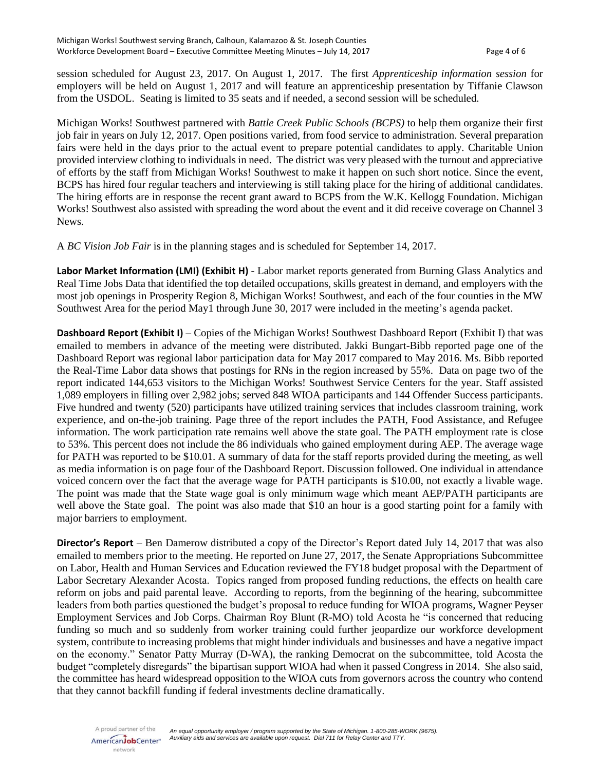session scheduled for August 23, 2017. On August 1, 2017. The first *Apprenticeship information session* for employers will be held on August 1, 2017 and will feature an apprenticeship presentation by Tiffanie Clawson from the USDOL. Seating is limited to 35 seats and if needed, a second session will be scheduled.

Michigan Works! Southwest partnered with *Battle Creek Public Schools (BCPS)* to help them organize their first job fair in years on July 12, 2017. Open positions varied, from food service to administration. Several preparation fairs were held in the days prior to the actual event to prepare potential candidates to apply. Charitable Union provided interview clothing to individuals in need. The district was very pleased with the turnout and appreciative of efforts by the staff from Michigan Works! Southwest to make it happen on such short notice. Since the event, BCPS has hired four regular teachers and interviewing is still taking place for the hiring of additional candidates. The hiring efforts are in response the recent grant award to BCPS from the W.K. Kellogg Foundation. Michigan Works! Southwest also assisted with spreading the word about the event and it did receive coverage on Channel 3 News.

A *BC Vision Job Fair* is in the planning stages and is scheduled for September 14, 2017.

**Labor Market Information (LMI) (Exhibit H)** - Labor market reports generated from Burning Glass Analytics and Real Time Jobs Data that identified the top detailed occupations, skills greatest in demand, and employers with the most job openings in Prosperity Region 8, Michigan Works! Southwest, and each of the four counties in the MW Southwest Area for the period May1 through June 30, 2017 were included in the meeting's agenda packet.

**Dashboard Report (Exhibit I)** – Copies of the Michigan Works! Southwest Dashboard Report (Exhibit I) that was emailed to members in advance of the meeting were distributed. Jakki Bungart-Bibb reported page one of the Dashboard Report was regional labor participation data for May 2017 compared to May 2016. Ms. Bibb reported the Real-Time Labor data shows that postings for RNs in the region increased by 55%. Data on page two of the report indicated 144,653 visitors to the Michigan Works! Southwest Service Centers for the year. Staff assisted 1,089 employers in filling over 2,982 jobs; served 848 WIOA participants and 144 Offender Success participants. Five hundred and twenty (520) participants have utilized training services that includes classroom training, work experience, and on-the-job training. Page three of the report includes the PATH, Food Assistance, and Refugee information. The work participation rate remains well above the state goal. The PATH employment rate is close to 53%. This percent does not include the 86 individuals who gained employment during AEP. The average wage for PATH was reported to be \$10.01. A summary of data for the staff reports provided during the meeting, as well as media information is on page four of the Dashboard Report. Discussion followed. One individual in attendance voiced concern over the fact that the average wage for PATH participants is \$10.00, not exactly a livable wage. The point was made that the State wage goal is only minimum wage which meant AEP/PATH participants are well above the State goal. The point was also made that \$10 an hour is a good starting point for a family with major barriers to employment.

**Director's Report** – Ben Damerow distributed a copy of the Director's Report dated July 14, 2017 that was also emailed to members prior to the meeting. He reported on June 27, 2017, the Senate Appropriations Subcommittee on Labor, Health and Human Services and Education reviewed the FY18 budget proposal with the Department of Labor Secretary Alexander Acosta. Topics ranged from proposed funding reductions, the effects on health care reform on jobs and paid parental leave. According to reports, from the beginning of the hearing, subcommittee leaders from both parties questioned the budget's proposal to reduce funding for WIOA programs, Wagner Peyser Employment Services and Job Corps. Chairman Roy Blunt (R-MO) told Acosta he "is concerned that reducing funding so much and so suddenly from worker training could further jeopardize our workforce development system, contribute to increasing problems that might hinder individuals and businesses and have a negative impact on the economy." Senator Patty Murray (D-WA), the ranking Democrat on the subcommittee, told Acosta the budget "completely disregards" the bipartisan support WIOA had when it passed Congress in 2014. She also said, the committee has heard widespread opposition to the WIOA cuts from governors across the country who contend that they cannot backfill funding if federal investments decline dramatically.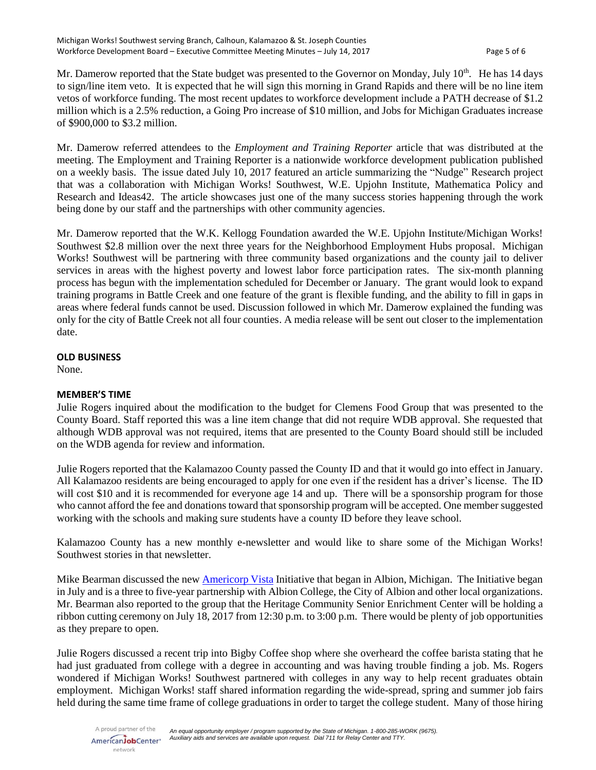Mr. Damerow reported that the State budget was presented to the Governor on Monday, July 10<sup>th</sup>. He has 14 days to sign/line item veto. It is expected that he will sign this morning in Grand Rapids and there will be no line item vetos of workforce funding. The most recent updates to workforce development include a PATH decrease of \$1.2 million which is a 2.5% reduction, a Going Pro increase of \$10 million, and Jobs for Michigan Graduates increase of \$900,000 to \$3.2 million.

Mr. Damerow referred attendees to the *Employment and Training Reporter* article that was distributed at the meeting. The Employment and Training Reporter is a nationwide workforce development publication published on a weekly basis. The issue dated July 10, 2017 featured an article summarizing the "Nudge" Research project that was a collaboration with Michigan Works! Southwest, W.E. Upjohn Institute, Mathematica Policy and Research and Ideas42. The article showcases just one of the many success stories happening through the work being done by our staff and the partnerships with other community agencies.

Mr. Damerow reported that the W.K. Kellogg Foundation awarded the W.E. Upjohn Institute/Michigan Works! Southwest \$2.8 million over the next three years for the Neighborhood Employment Hubs proposal. Michigan Works! Southwest will be partnering with three community based organizations and the county jail to deliver services in areas with the highest poverty and lowest labor force participation rates. The six-month planning process has begun with the implementation scheduled for December or January. The grant would look to expand training programs in Battle Creek and one feature of the grant is flexible funding, and the ability to fill in gaps in areas where federal funds cannot be used. Discussion followed in which Mr. Damerow explained the funding was only for the city of Battle Creek not all four counties. A media release will be sent out closer to the implementation date.

#### **OLD BUSINESS**

None.

## **MEMBER'S TIME**

Julie Rogers inquired about the modification to the budget for Clemens Food Group that was presented to the County Board. Staff reported this was a line item change that did not require WDB approval. She requested that although WDB approval was not required, items that are presented to the County Board should still be included on the WDB agenda for review and information.

Julie Rogers reported that the Kalamazoo County passed the County ID and that it would go into effect in January. All Kalamazoo residents are being encouraged to apply for one even if the resident has a driver's license. The ID will cost \$10 and it is recommended for everyone age 14 and up. There will be a sponsorship program for those who cannot afford the fee and donations toward that sponsorship program will be accepted. One member suggested working with the schools and making sure students have a county ID before they leave school.

Kalamazoo County has a new monthly e-newsletter and would like to share some of the Michigan Works! Southwest stories in that newsletter.

Mike Bearman discussed the ne[w Americorp Vista](http://albionmich.net/build-albion-americorps-vista-initiative/) Initiative that began in Albion, Michigan. The Initiative began in July and is a three to five-year partnership with Albion College, the City of Albion and other local organizations. Mr. Bearman also reported to the group that the Heritage Community Senior Enrichment Center will be holding a ribbon cutting ceremony on July 18, 2017 from 12:30 p.m. to 3:00 p.m. There would be plenty of job opportunities as they prepare to open.

Julie Rogers discussed a recent trip into Bigby Coffee shop where she overheard the coffee barista stating that he had just graduated from college with a degree in accounting and was having trouble finding a job. Ms. Rogers wondered if Michigan Works! Southwest partnered with colleges in any way to help recent graduates obtain employment. Michigan Works! staff shared information regarding the wide-spread, spring and summer job fairs held during the same time frame of college graduations in order to target the college student. Many of those hiring